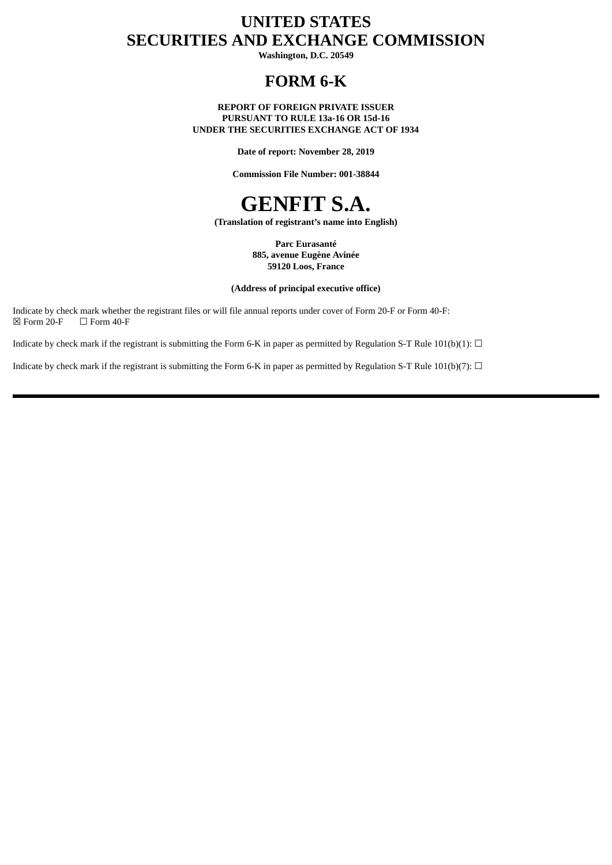# **UNITED STATES SECURITIES AND EXCHANGE COMMISSION**

**Washington, D.C. 20549**

## **FORM 6-K**

**REPORT OF FOREIGN PRIVATE ISSUER PURSUANT TO RULE 13a-16 OR 15d-16 UNDER THE SECURITIES EXCHANGE ACT OF 1934**

**Date of report: November 28, 2019**

**Commission File Number: 001-38844**



**(Translation of registrant's name into English)**

**Parc Eurasanté 885, avenue Eugène Avinée 59120 Loos, France**

#### **(Address of principal executive office)**

Indicate by check mark whether the registrant files or will file annual reports under cover of Form 20-F or Form 40-F:  $\boxtimes$  Form 20-F  $\Box$  Form 40-F

Indicate by check mark if the registrant is submitting the Form 6-K in paper as permitted by Regulation S-T Rule 101(b)(1):  $\Box$ 

Indicate by check mark if the registrant is submitting the Form 6-K in paper as permitted by Regulation S-T Rule 101(b)(7):  $\Box$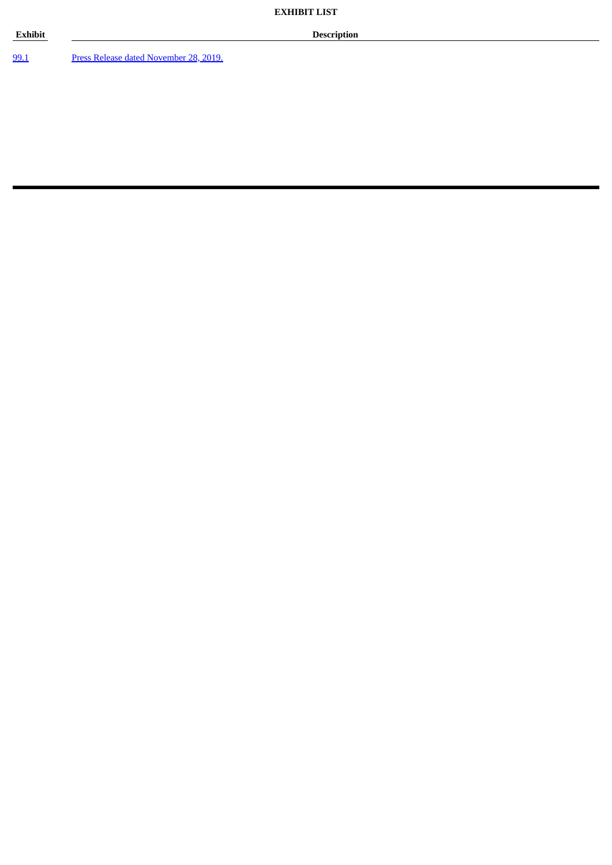99.1 Press Release dated November 28, 2019.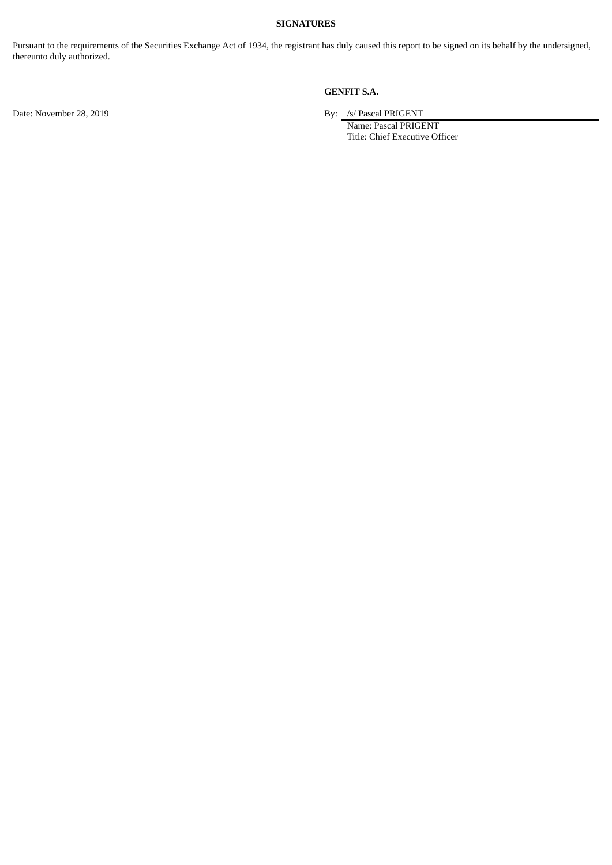#### **SIGNATURES**

Pursuant to the requirements of the Securities Exchange Act of 1934, the registrant has duly caused this report to be signed on its behalf by the undersigned, thereunto duly authorized.

### **GENFIT S.A.**

Date: November 28, 2019 By: /s/ Pascal PRIGENT

Name: Pascal PRIGENT Title: Chief Executive Officer